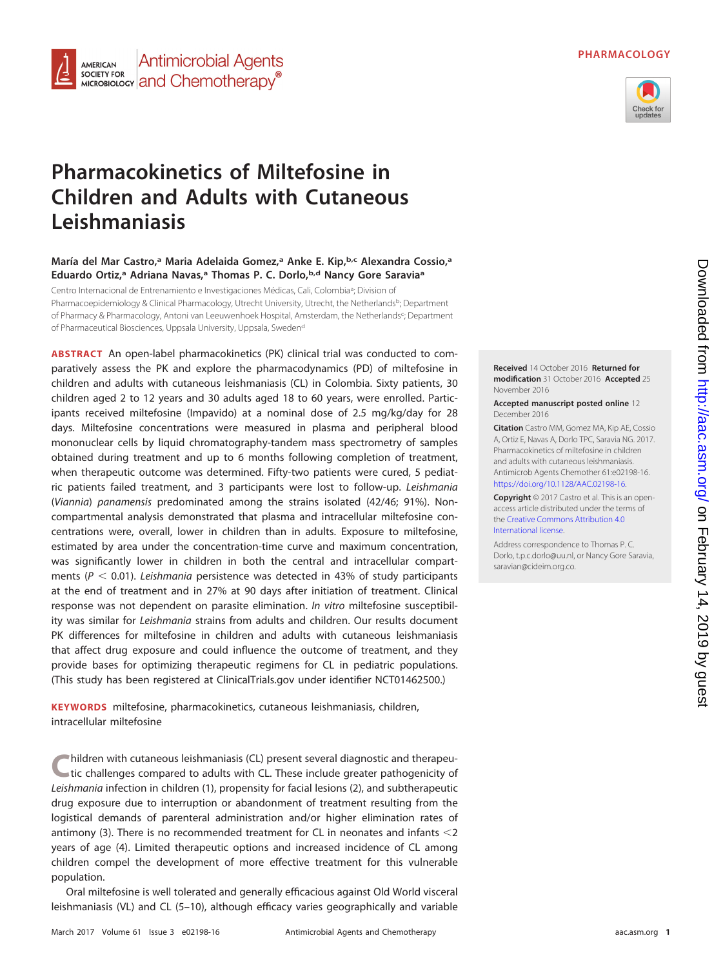



# **Pharmacokinetics of Miltefosine in Children and Adults with Cutaneous Leishmaniasis**

**Antimicrobial Agents** 

MICROBIOLOGY **and Chemotherapy**<sup>®</sup>

**AMERICAN** SOCIETY FOR

# **María del Mar Castro,a Maria Adelaida Gomez,a Anke E. Kip,b,c Alexandra Cossio,a Eduardo Ortiz,a Adriana Navas,a Thomas P. C. Dorlo,b,d Nancy Gore Saraviaa**

Centro Internacional de Entrenamiento e Investigaciones Médicas, Cali, Colombia<sup>a</sup>; Division of Pharmacoepidemiology & Clinical Pharmacology, Utrecht University, Utrecht, the Netherlands<sup>b</sup>; Department of Pharmacy & Pharmacology, Antoni van Leeuwenhoek Hospital, Amsterdam, the Netherlands<sup>c</sup>; Department of Pharmaceutical Biosciences, Uppsala University, Uppsala, Sweden<sup>d</sup>

**ABSTRACT** An open-label pharmacokinetics (PK) clinical trial was conducted to comparatively assess the PK and explore the pharmacodynamics (PD) of miltefosine in children and adults with cutaneous leishmaniasis (CL) in Colombia. Sixty patients, 30 children aged 2 to 12 years and 30 adults aged 18 to 60 years, were enrolled. Participants received miltefosine (Impavido) at a nominal dose of 2.5 mg/kg/day for 28 days. Miltefosine concentrations were measured in plasma and peripheral blood mononuclear cells by liquid chromatography-tandem mass spectrometry of samples obtained during treatment and up to 6 months following completion of treatment, when therapeutic outcome was determined. Fifty-two patients were cured, 5 pediatric patients failed treatment, and 3 participants were lost to follow-up. Leishmania (Viannia) panamensis predominated among the strains isolated (42/46; 91%). Noncompartmental analysis demonstrated that plasma and intracellular miltefosine concentrations were, overall, lower in children than in adults. Exposure to miltefosine, estimated by area under the concentration-time curve and maximum concentration, was significantly lower in children in both the central and intracellular compartments ( $P < 0.01$ ). Leishmania persistence was detected in 43% of study participants at the end of treatment and in 27% at 90 days after initiation of treatment. Clinical response was not dependent on parasite elimination. In vitro miltefosine susceptibility was similar for Leishmania strains from adults and children. Our results document PK differences for miltefosine in children and adults with cutaneous leishmaniasis that affect drug exposure and could influence the outcome of treatment, and they provide bases for optimizing therapeutic regimens for CL in pediatric populations. (This study has been registered at ClinicalTrials.gov under identifier NCT01462500.)

**KEYWORDS** miltefosine, pharmacokinetics, cutaneous leishmaniasis, children, intracellular miltefosine

**C**hildren with cutaneous leishmaniasis (CL) present several diagnostic and therapeutic challenges compared to adults with CL. These include greater pathogenicity of Leishmania infection in children [\(1\)](#page-9-0), propensity for facial lesions [\(2\)](#page-9-1), and subtherapeutic drug exposure due to interruption or abandonment of treatment resulting from the logistical demands of parenteral administration and/or higher elimination rates of antimony [\(3\)](#page-9-2). There is no recommended treatment for CL in neonates and infants  $<$  2 years of age [\(4\)](#page-9-3). Limited therapeutic options and increased incidence of CL among children compel the development of more effective treatment for this vulnerable population.

Oral miltefosine is well tolerated and generally efficacious against Old World visceral leishmaniasis (VL) and CL [\(5](#page-9-4)[–](#page-9-5)[10\)](#page-9-6), although efficacy varies geographically and variable



#### **Accepted manuscript posted online** 12 December 2016

**Citation** Castro MM, Gomez MA, Kip AE, Cossio A, Ortiz E, Navas A, Dorlo TPC, Saravia NG. 2017. Pharmacokinetics of miltefosine in children and adults with cutaneous leishmaniasis. Antimicrob Agents Chemother 61:e02198-16. [https://doi.org/10.1128/AAC.02198-16.](https://doi.org/10.1128/AAC.02198-16)

**Copyright** © 2017 Castro et al. This is an openaccess article distributed under the terms of the [Creative Commons Attribution 4.0](http://creativecommons.org/licenses/by/4.0/) [International](http://creativecommons.org/licenses/by/4.0/) license.

Address correspondence to Thomas P. C. Dorlo, [t.p.c.dorlo@uu.nl,](mailto:t.p.c.dorlo@uu.nl) or Nancy Gore Saravia, [saravian@cideim.org.co.](mailto:saravian@cideim.org.co)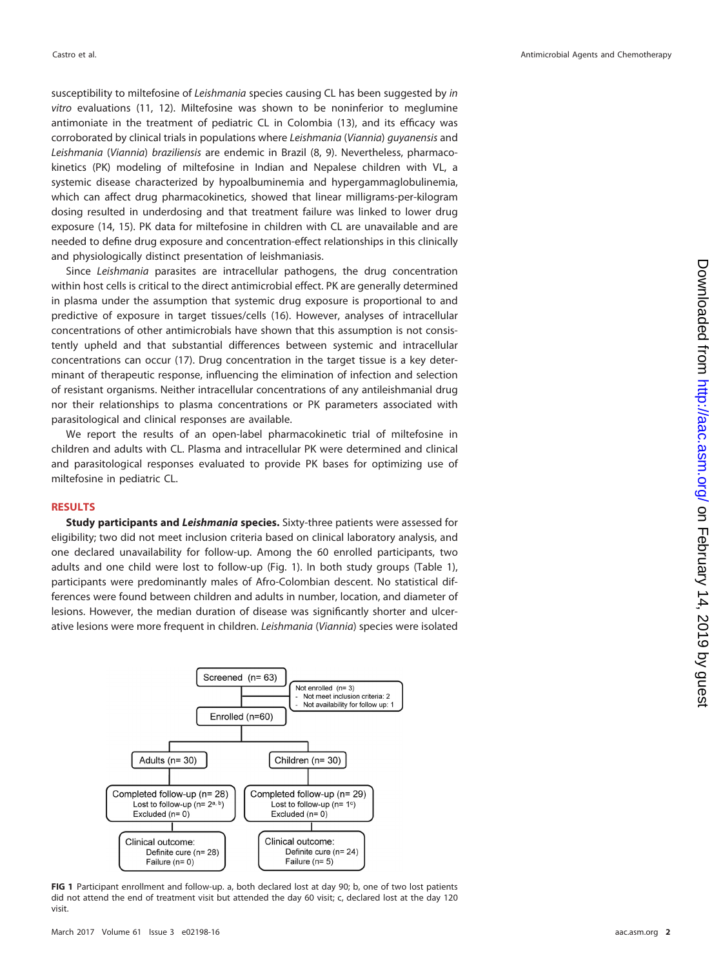susceptibility to miltefosine of Leishmania species causing CL has been suggested by in vitro evaluations [\(11,](#page-9-7) [12\)](#page-9-8). Miltefosine was shown to be noninferior to meglumine antimoniate in the treatment of pediatric CL in Colombia [\(13\)](#page-9-9), and its efficacy was corroborated by clinical trials in populations where Leishmania (Viannia) guyanensis and Leishmania (Viannia) braziliensis are endemic in Brazil [\(8,](#page-9-10) [9\)](#page-9-5). Nevertheless, pharmacokinetics (PK) modeling of miltefosine in Indian and Nepalese children with VL, a systemic disease characterized by hypoalbuminemia and hypergammaglobulinemia, which can affect drug pharmacokinetics, showed that linear milligrams-per-kilogram dosing resulted in underdosing and that treatment failure was linked to lower drug exposure [\(14,](#page-9-11) [15\)](#page-9-12). PK data for miltefosine in children with CL are unavailable and are needed to define drug exposure and concentration-effect relationships in this clinically and physiologically distinct presentation of leishmaniasis.

Since Leishmania parasites are intracellular pathogens, the drug concentration within host cells is critical to the direct antimicrobial effect. PK are generally determined in plasma under the assumption that systemic drug exposure is proportional to and predictive of exposure in target tissues/cells [\(16\)](#page-9-13). However, analyses of intracellular concentrations of other antimicrobials have shown that this assumption is not consistently upheld and that substantial differences between systemic and intracellular concentrations can occur [\(17\)](#page-9-14). Drug concentration in the target tissue is a key determinant of therapeutic response, influencing the elimination of infection and selection of resistant organisms. Neither intracellular concentrations of any antileishmanial drug nor their relationships to plasma concentrations or PK parameters associated with parasitological and clinical responses are available.

We report the results of an open-label pharmacokinetic trial of miltefosine in children and adults with CL. Plasma and intracellular PK were determined and clinical and parasitological responses evaluated to provide PK bases for optimizing use of miltefosine in pediatric CL.

### **RESULTS**

**Study participants and** *Leishmania* **species.** Sixty-three patients were assessed for eligibility; two did not meet inclusion criteria based on clinical laboratory analysis, and one declared unavailability for follow-up. Among the 60 enrolled participants, two adults and one child were lost to follow-up [\(Fig. 1\)](#page-1-0). In both study groups [\(Table 1\)](#page-2-0), participants were predominantly males of Afro-Colombian descent. No statistical differences were found between children and adults in number, location, and diameter of lesions. However, the median duration of disease was significantly shorter and ulcerative lesions were more frequent in children. Leishmania (Viannia) species were isolated



<span id="page-1-0"></span>**FIG 1** Participant enrollment and follow-up. a, both declared lost at day 90; b, one of two lost patients did not attend the end of treatment visit but attended the day 60 visit; c, declared lost at the day 120 visit.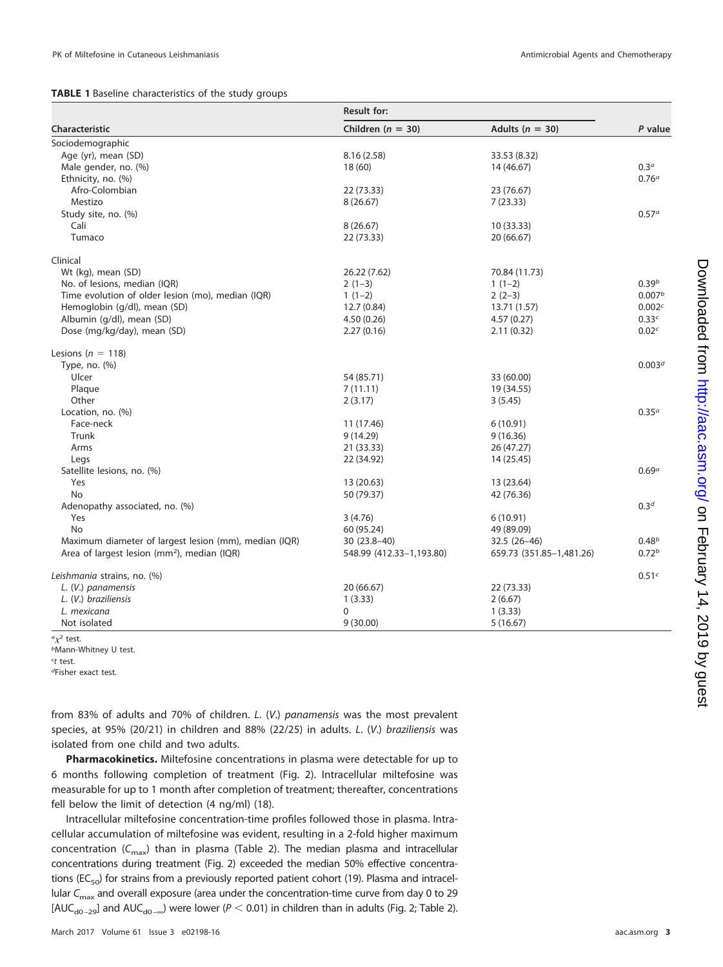## <span id="page-2-0"></span>**TABLE 1** Baseline characteristics of the study groups

|                                                         | <b>Result for:</b>       |                          |                    |  |
|---------------------------------------------------------|--------------------------|--------------------------|--------------------|--|
| Characteristic                                          | Children ( $n = 30$ )    | Adults ( $n = 30$ )      | P value            |  |
| Sociodemographic                                        |                          |                          |                    |  |
| Age (yr), mean (SD)                                     | 8.16(2.58)               | 33.53 (8.32)             |                    |  |
| Male gender, no. (%)                                    | 18(60)                   | 14 (46.67)               | 0.3 <sup>a</sup>   |  |
| Ethnicity, no. (%)                                      |                          |                          | 0.76 <sup>a</sup>  |  |
| Afro-Colombian                                          | 22 (73.33)               | 23 (76.67)               |                    |  |
| Mestizo                                                 | 8(26.67)                 | 7(23.33)                 |                    |  |
| Study site, no. (%)                                     |                          |                          | 0.57 <sup>a</sup>  |  |
| Cali                                                    | 8(26.67)                 | 10 (33.33)               |                    |  |
| Tumaco                                                  | 22 (73.33)               | 20 (66.67)               |                    |  |
| Clinical                                                |                          |                          |                    |  |
| Wt (kg), mean (SD)                                      | 26.22 (7.62)             | 70.84 (11.73)            |                    |  |
| No. of lesions, median (IQR)                            | $2(1-3)$                 | $1(1-2)$                 | 0.39 <sup>b</sup>  |  |
| Time evolution of older lesion (mo), median (IQR)       | $1(1-2)$                 | $2(2-3)$                 | 0.007 <sup>b</sup> |  |
| Hemoglobin (g/dl), mean (SD)                            | 12.7(0.84)               | 13.71 (1.57)             | 0.002 <sup>c</sup> |  |
| Albumin (g/dl), mean (SD)                               | 4.50(0.26)               | 4.57(0.27)               | 0.33c              |  |
| Dose (mg/kg/day), mean (SD)                             | 2.27(0.16)               | 2.11(0.32)               | 0.02 <sub>c</sub>  |  |
| Lesions ( $n = 118$ )                                   |                          |                          |                    |  |
| Type, no. (%)                                           |                          |                          | 0.003 <sup>d</sup> |  |
| Ulcer                                                   | 54 (85.71)               | 33 (60.00)               |                    |  |
| Plaque                                                  | 7(11.11)                 | 19 (34.55)               |                    |  |
| Other                                                   | 2(3.17)                  | 3(5.45)                  |                    |  |
| Location, no. (%)                                       |                          |                          | 0.35 <sup>a</sup>  |  |
| Face-neck                                               | 11 (17.46)               | 6(10.91)                 |                    |  |
| Trunk                                                   | 9(14.29)                 | 9(16.36)                 |                    |  |
| Arms                                                    | 21 (33.33)               | 26 (47.27)               |                    |  |
| Legs                                                    | 22 (34.92)               | 14 (25.45)               |                    |  |
| Satellite lesions, no. (%)                              |                          |                          | 0.69 <sup>a</sup>  |  |
| Yes                                                     | 13 (20.63)               | 13 (23.64)               |                    |  |
| No                                                      | 50 (79.37)               | 42 (76.36)               |                    |  |
| Adenopathy associated, no. (%)                          |                          |                          | 0.3 <sup>d</sup>   |  |
| Yes                                                     | 3(4.76)                  | 6 (10.91)                |                    |  |
| No                                                      | 60 (95.24)               | 49 (89.09)               |                    |  |
| Maximum diameter of largest lesion (mm), median (IQR)   | 30 (23.8-40)             | $32.5(26-46)$            | 0.48 <sup>b</sup>  |  |
| Area of largest lesion (mm <sup>2</sup> ), median (IQR) | 548.99 (412.33-1,193.80) | 659.73 (351.85-1,481.26) | 0.72 <sup>b</sup>  |  |
| Leishmania strains, no. (%)                             |                          |                          | 0.51c              |  |
| L. (V.) panamensis                                      | 20 (66.67)               | 22 (73.33)               |                    |  |
| L. (V.) braziliensis                                    | 1(3.33)                  | 2(6.67)                  |                    |  |
| L. mexicana                                             | 0                        | 1(3.33)                  |                    |  |
| Not isolated                                            | 9(30.00)                 | 5(16.67)                 |                    |  |

 $a_{\chi^2}$  test.

**bMann-Whitney U test.** 

<sup>c</sup>t test.

dFisher exact test.

from 83% of adults and 70% of children. L. (V.) panamensis was the most prevalent species, at 95% (20/21) in children and 88% (22/25) in adults. L. (V.) braziliensis was isolated from one child and two adults.

**Pharmacokinetics.** Miltefosine concentrations in plasma were detectable for up to 6 months following completion of treatment [\(Fig. 2\)](#page-3-0). Intracellular miltefosine was measurable for up to 1 month after completion of treatment; thereafter, concentrations fell below the limit of detection (4 ng/ml) [\(18\)](#page-9-15).

Intracellular miltefosine concentration-time profiles followed those in plasma. Intracellular accumulation of miltefosine was evident, resulting in a 2-fold higher maximum concentration ( $C_{\text{max}}$ ) than in plasma [\(Table 2\)](#page-3-1). The median plasma and intracellular concentrations during treatment [\(Fig. 2\)](#page-3-0) exceeded the median 50% effective concentra-tions (EC<sub>50</sub>) for strains from a previously reported patient cohort [\(19\)](#page-9-16). Plasma and intracellular  $C<sub>max</sub>$  and overall exposure (area under the concentration-time curve from day 0 to 29 [AUC<sub>d0-29</sub>] and AUC<sub>d0-∞</sub>) were lower ( $P < 0.01$ ) in children than in adults [\(Fig. 2;](#page-3-0) [Table 2\)](#page-3-1).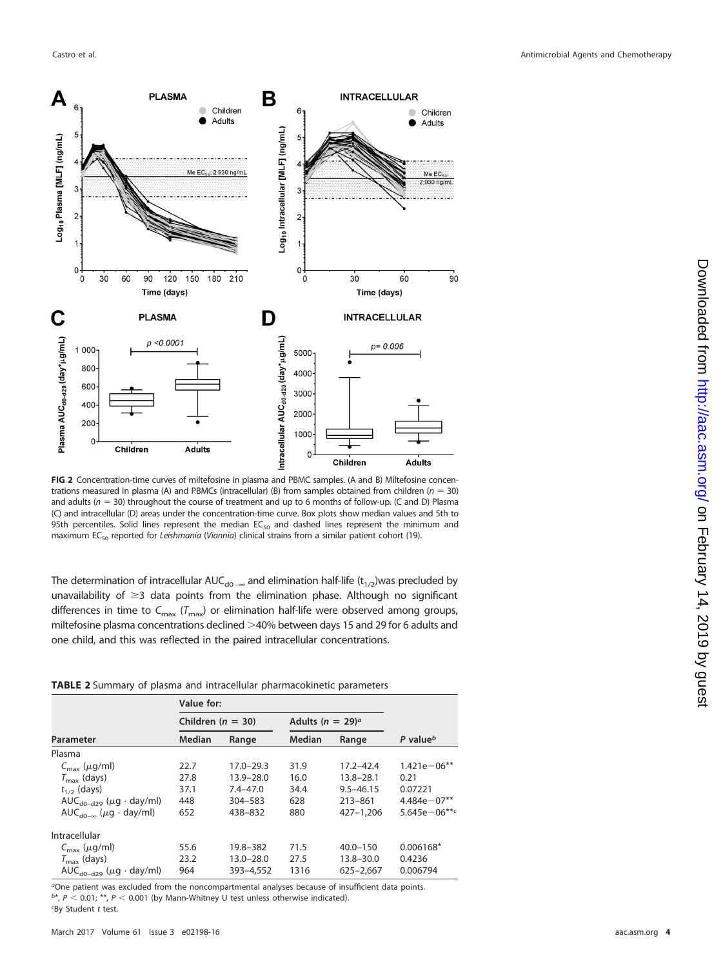

<span id="page-3-0"></span>**FIG 2** Concentration-time curves of miltefosine in plasma and PBMC samples. (A and B) Miltefosine concentrations measured in plasma (A) and PBMCs (intracellular) (B) from samples obtained from children ( $n = 30$ ) and adults ( $n = 30$ ) throughout the course of treatment and up to 6 months of follow-up. (C and D) Plasma (C) and intracellular (D) areas under the concentration-time curve. Box plots show median values and 5th to 95th percentiles. Solid lines represent the median  $EC_{50}$  and dashed lines represent the minimum and maximum EC<sub>50</sub> reported for Leishmania (Viannia) clinical strains from a similar patient cohort [\(19\)](#page-9-16).

The determination of intracellular AUC<sub>d0 –</sub><sub>∞</sub> and elimination half-life (t<sub>1/2</sub>)was precluded by unavailability of  $\geq$ 3 data points from the elimination phase. Although no significant differences in time to  $C_{\text{max}}$  ( $T_{\text{max}}$ ) or elimination half-life were observed among groups, miltefosine plasma concentrations declined >40% between days 15 and 29 for 6 adults and one child, and this was reflected in the paired intracellular concentrations.

<span id="page-3-1"></span>**TABLE 2** Summary of plasma and intracellular pharmacokinetic parameters

|                                           | Children ( $n = 30$ ) |               | Adults ( $n = 29$ ) <sup>a</sup> |               |                      |
|-------------------------------------------|-----------------------|---------------|----------------------------------|---------------|----------------------|
| Parameter                                 | <b>Median</b>         | Range         | <b>Median</b>                    | Range         | P value <sup>b</sup> |
| Plasma                                    |                       |               |                                  |               |                      |
| $C_{\text{max}}$ ( $\mu$ g/ml)            | 22.7                  | 17.0-29.3     | 31.9                             | 17.2-42.4     | $1.421e - 06**$      |
| $T_{\rm max}$ (days)                      | 27.8                  | 13.9-28.0     | 16.0                             | $13.8 - 28.1$ | 0.21                 |
| $t_{1/2}$ (days)                          | 37.1                  | $7.4 - 47.0$  | 34.4                             | $9.5 - 46.15$ | 0.07221              |
| $AUC_{d0-d29}$ ( $\mu$ g · day/ml)        | 448                   | 304-583       | 628                              | 213-861       | $4.484e - 07**$      |
| $AUC_{d0-x}$ ( $\mu$ g · day/ml)          | 652                   | 438-832       | 880                              | 427-1.206     | 5.645e $-06***c$     |
| Intracellular                             |                       |               |                                  |               |                      |
| $C_{\text{max}}$ ( $\mu$ g/ml)            | 55.6                  | 19.8-382      | 71.5                             | $40.0 - 150$  | $0.006168*$          |
| $T_{\text{max}}$ (days)                   | 23.2                  | $13.0 - 28.0$ | 27.5                             | $13.8 - 30.0$ | 0.4236               |
| AUC <sub>d0-d29</sub> ( $\mu$ g · day/ml) | 964                   | 393-4,552     | 1316                             | 625-2.667     | 0.006794             |

aOne patient was excluded from the noncompartmental analyses because of insufficient data points.  $b^*$ ,  $P < 0.01$ ;  $**$ ,  $P < 0.001$  (by Mann-Whitney U test unless otherwise indicated). c By Student t test.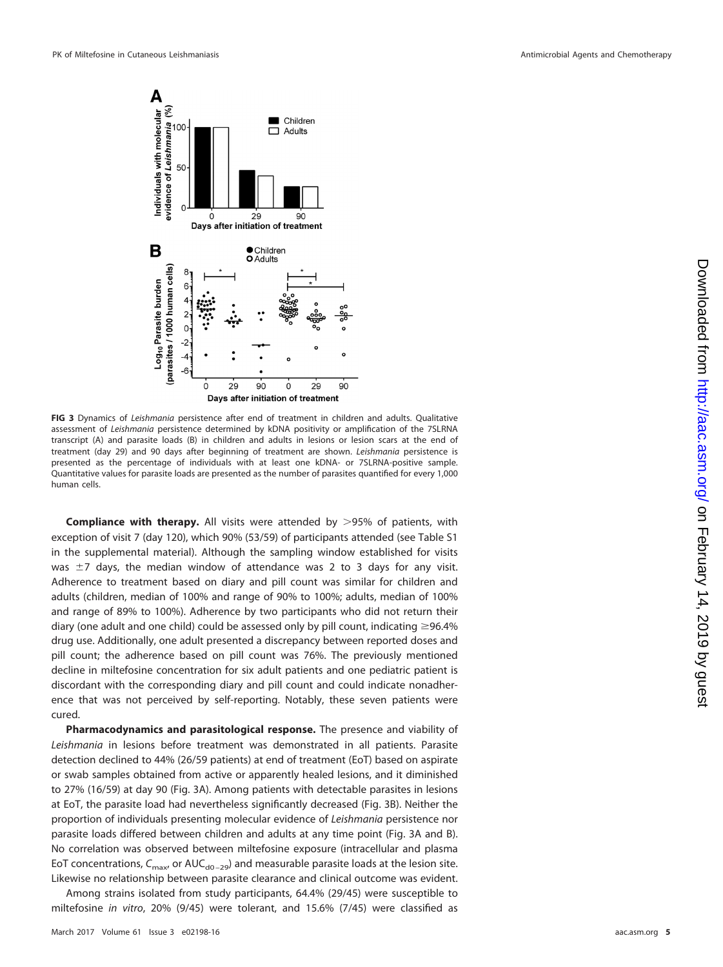

<span id="page-4-0"></span>**FIG 3** Dynamics of Leishmania persistence after end of treatment in children and adults. Qualitative assessment of Leishmania persistence determined by kDNA positivity or amplification of the 7SLRNA transcript (A) and parasite loads (B) in children and adults in lesions or lesion scars at the end of treatment (day 29) and 90 days after beginning of treatment are shown. Leishmania persistence is presented as the percentage of individuals with at least one kDNA- or 7SLRNA-positive sample. Quantitative values for parasite loads are presented as the number of parasites quantified for every 1,000 human cells.

**Compliance with therapy.** All visits were attended by >95% of patients, with exception of visit 7 (day 120), which 90% (53/59) of participants attended (see Table S1 in the supplemental material). Although the sampling window established for visits was  $\pm$ 7 days, the median window of attendance was 2 to 3 days for any visit. Adherence to treatment based on diary and pill count was similar for children and adults (children, median of 100% and range of 90% to 100%; adults, median of 100% and range of 89% to 100%). Adherence by two participants who did not return their diary (one adult and one child) could be assessed only by pill count, indicating  $\geq$ 96.4% drug use. Additionally, one adult presented a discrepancy between reported doses and pill count; the adherence based on pill count was 76%. The previously mentioned decline in miltefosine concentration for six adult patients and one pediatric patient is discordant with the corresponding diary and pill count and could indicate nonadherence that was not perceived by self-reporting. Notably, these seven patients were cured.

**Pharmacodynamics and parasitological response.** The presence and viability of Leishmania in lesions before treatment was demonstrated in all patients. Parasite detection declined to 44% (26/59 patients) at end of treatment (EoT) based on aspirate or swab samples obtained from active or apparently healed lesions, and it diminished to 27% (16/59) at day 90 [\(Fig. 3A\)](#page-4-0). Among patients with detectable parasites in lesions at EoT, the parasite load had nevertheless significantly decreased [\(Fig. 3B\)](#page-4-0). Neither the proportion of individuals presenting molecular evidence of Leishmania persistence nor parasite loads differed between children and adults at any time point [\(Fig. 3A](#page-4-0) and [B\)](#page-4-0). No correlation was observed between miltefosine exposure (intracellular and plasma EoT concentrations,  $C_{\text{max}}$ , or AUC<sub>d0-29</sub>) and measurable parasite loads at the lesion site. Likewise no relationship between parasite clearance and clinical outcome was evident.

Among strains isolated from study participants, 64.4% (29/45) were susceptible to miltefosine in vitro, 20% (9/45) were tolerant, and 15.6% (7/45) were classified as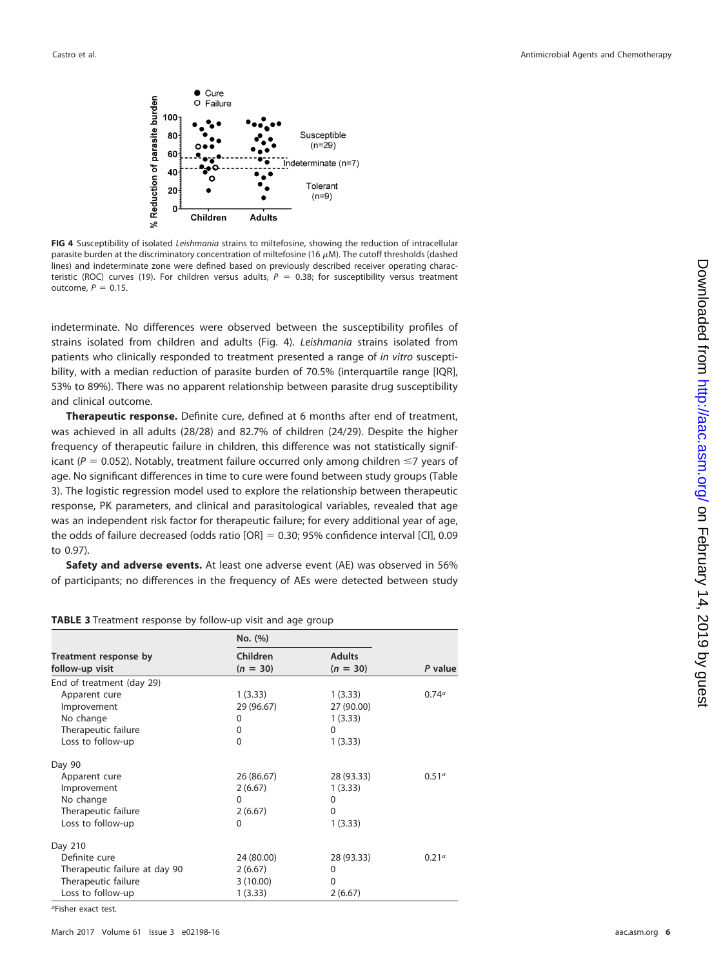

<span id="page-5-0"></span>**FIG 4** Susceptibility of isolated Leishmania strains to miltefosine, showing the reduction of intracellular parasite burden at the discriminatory concentration of miltefosine (16  $\mu$ M). The cutoff thresholds (dashed lines) and indeterminate zone were defined based on previously described receiver operating charac-teristic (ROC) curves [\(19\)](#page-9-16). For children versus adults,  $P = 0.38$ ; for susceptibility versus treatment outcome,  $P = 0.15$ .

indeterminate. No differences were observed between the susceptibility profiles of strains isolated from children and adults [\(Fig. 4\)](#page-5-0). Leishmania strains isolated from patients who clinically responded to treatment presented a range of in vitro susceptibility, with a median reduction of parasite burden of 70.5% (interquartile range [IQR], 53% to 89%). There was no apparent relationship between parasite drug susceptibility and clinical outcome.

**Therapeutic response.** Definite cure, defined at 6 months after end of treatment, was achieved in all adults (28/28) and 82.7% of children (24/29). Despite the higher frequency of therapeutic failure in children, this difference was not statistically significant ( $P = 0.052$ ). Notably, treatment failure occurred only among children  $\leq 7$  years of age. No significant differences in time to cure were found between study groups [\(Table](#page-5-1) [3\)](#page-5-1). The logistic regression model used to explore the relationship between therapeutic response, PK parameters, and clinical and parasitological variables, revealed that age was an independent risk factor for therapeutic failure; for every additional year of age, the odds of failure decreased (odds ratio [OR] 0.30; 95% confidence interval [CI], 0.09 to 0.97).

**Safety and adverse events.** At least one adverse event (AE) was observed in 56% of participants; no differences in the frequency of AEs were detected between study

<span id="page-5-1"></span>

|  | TABLE 3 Treatment response by follow-up visit and age group |  |  |  |  |
|--|-------------------------------------------------------------|--|--|--|--|
|  |                                                             |  |  |  |  |

|                                          | No. (%)                       |                             |                   |
|------------------------------------------|-------------------------------|-----------------------------|-------------------|
| Treatment response by<br>follow-up visit | <b>Children</b><br>$(n = 30)$ | <b>Adults</b><br>$(n = 30)$ | P value           |
| End of treatment (day 29)                |                               |                             |                   |
| Apparent cure                            | 1(3.33)                       | 1(3.33)                     | 0.74 <sup>a</sup> |
| Improvement                              | 29 (96.67)                    | 27 (90.00)                  |                   |
| No change                                | 0                             | 1(3.33)                     |                   |
| Therapeutic failure                      | 0                             | 0                           |                   |
| Loss to follow-up                        | $\Omega$                      | 1(3.33)                     |                   |
| Day 90                                   |                               |                             |                   |
| Apparent cure                            | 26 (86.67)                    | 28 (93.33)                  | 0.51 <sup>a</sup> |
| Improvement                              | 2(6.67)                       | 1(3.33)                     |                   |
| No change                                | $\Omega$                      | 0                           |                   |
| Therapeutic failure                      | 2(6.67)                       | 0                           |                   |
| Loss to follow-up                        | 0                             | 1(3.33)                     |                   |
| Day 210                                  |                               |                             |                   |
| Definite cure                            | 24 (80.00)                    | 28 (93.33)                  | 0.21 <sup>a</sup> |
| Therapeutic failure at day 90            | 2(6.67)                       | $\Omega$                    |                   |
| Therapeutic failure                      | 3(10.00)                      | $\Omega$                    |                   |
| Loss to follow-up                        | 1(3.33)                       | 2(6.67)                     |                   |

aFisher exact test.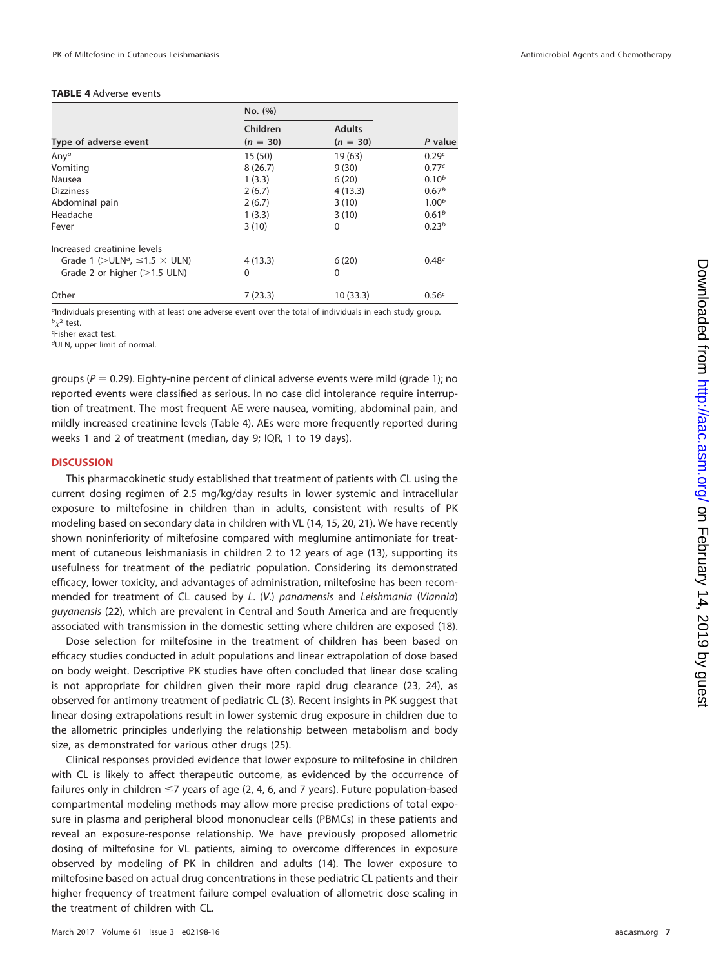## <span id="page-6-0"></span>**TABLE 4** Adverse events

|                                              | No. (%)                |                             |                   |  |
|----------------------------------------------|------------------------|-----------------------------|-------------------|--|
| Type of adverse event                        | Children<br>$(n = 30)$ | <b>Adults</b><br>$(n = 30)$ | P value           |  |
| Any <sup>a</sup>                             | 15(50)                 | 19 (63)                     | 0.29c             |  |
| Vomiting                                     | 8(26.7)                | 9(30)                       | 0.77c             |  |
| Nausea                                       | 1(3.3)                 | 6(20)                       | $0.10^{b}$        |  |
| <b>Dizziness</b>                             | 2(6.7)                 | 4(13.3)                     | 0.67 <sup>b</sup> |  |
| Abdominal pain                               | 2(6.7)                 | 3(10)                       | 1.00 <sup>b</sup> |  |
| Headache                                     | 1(3.3)                 | 3(10)                       | 0.61 <sup>b</sup> |  |
| Fever                                        | 3(10)                  | $\Omega$                    | 0.23 <sup>b</sup> |  |
| Increased creatinine levels                  |                        |                             |                   |  |
| Grade 1 ( $>ULNd$ , $\leq$ 1.5 $\times$ ULN) | 4(13.3)                | 6(20)                       | 0.48 <sup>c</sup> |  |
| Grade 2 or higher $(>1.5$ ULN)               | 0                      | $\Omega$                    |                   |  |
| Other                                        | 7(23.3)                | 10 (33.3)                   | 0.56 <sup>c</sup> |  |

<sup>a</sup>Individuals presenting with at least one adverse event over the total of individuals in each study group.  ${}^b\chi^2$  test.

c Fisher exact test.

dULN, upper limit of normal.

groups ( $P = 0.29$ ). Eighty-nine percent of clinical adverse events were mild (grade 1); no reported events were classified as serious. In no case did intolerance require interruption of treatment. The most frequent AE were nausea, vomiting, abdominal pain, and mildly increased creatinine levels [\(Table 4\)](#page-6-0). AEs were more frequently reported during weeks 1 and 2 of treatment (median, day 9; IQR, 1 to 19 days).

#### **DISCUSSION**

This pharmacokinetic study established that treatment of patients with CL using the current dosing regimen of 2.5 mg/kg/day results in lower systemic and intracellular exposure to miltefosine in children than in adults, consistent with results of PK modeling based on secondary data in children with VL [\(14,](#page-9-11) [15,](#page-9-12) [20,](#page-10-0) [21\)](#page-10-1). We have recently shown noninferiority of miltefosine compared with meglumine antimoniate for treatment of cutaneous leishmaniasis in children 2 to 12 years of age [\(13\)](#page-9-9), supporting its usefulness for treatment of the pediatric population. Considering its demonstrated efficacy, lower toxicity, and advantages of administration, miltefosine has been recommended for treatment of CL caused by L. (V.) panamensis and Leishmania (Viannia) guyanensis [\(22\)](#page-10-2), which are prevalent in Central and South America and are frequently associated with transmission in the domestic setting where children are exposed [\(18\)](#page-9-15).

Dose selection for miltefosine in the treatment of children has been based on efficacy studies conducted in adult populations and linear extrapolation of dose based on body weight. Descriptive PK studies have often concluded that linear dose scaling is not appropriate for children given their more rapid drug clearance [\(23,](#page-10-3) [24\)](#page-10-4), as observed for antimony treatment of pediatric CL [\(3\)](#page-9-2). Recent insights in PK suggest that linear dosing extrapolations result in lower systemic drug exposure in children due to the allometric principles underlying the relationship between metabolism and body size, as demonstrated for various other drugs [\(25\)](#page-10-5).

Clinical responses provided evidence that lower exposure to miltefosine in children with CL is likely to affect therapeutic outcome, as evidenced by the occurrence of failures only in children  $\leq 7$  years of age (2, 4, 6, and 7 years). Future population-based compartmental modeling methods may allow more precise predictions of total exposure in plasma and peripheral blood mononuclear cells (PBMCs) in these patients and reveal an exposure-response relationship. We have previously proposed allometric dosing of miltefosine for VL patients, aiming to overcome differences in exposure observed by modeling of PK in children and adults [\(14\)](#page-9-11). The lower exposure to miltefosine based on actual drug concentrations in these pediatric CL patients and their higher frequency of treatment failure compel evaluation of allometric dose scaling in the treatment of children with CL.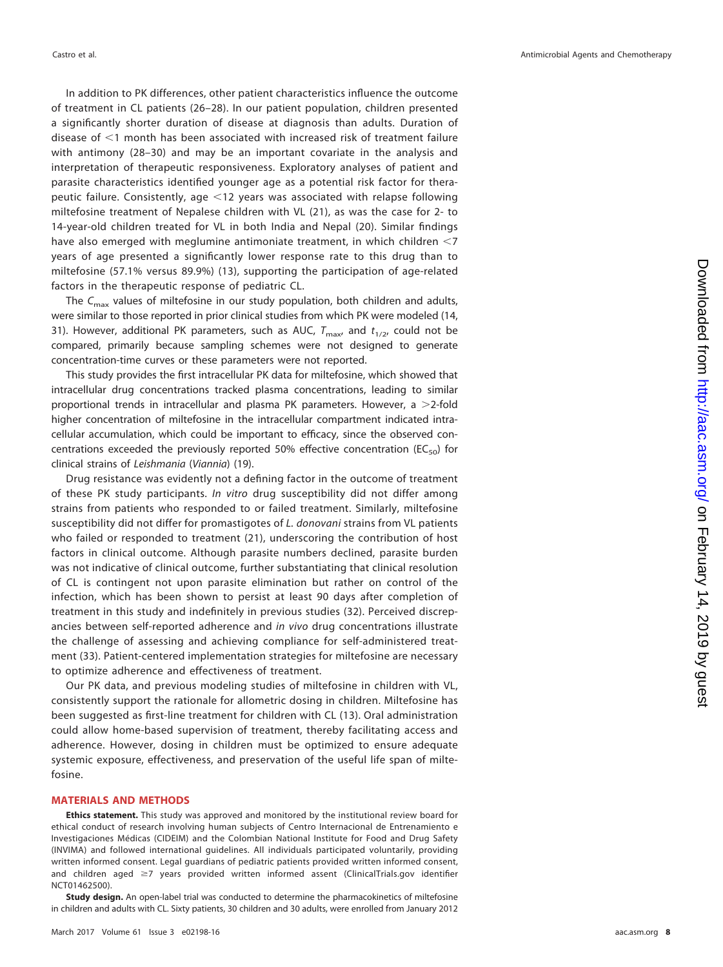In addition to PK differences, other patient characteristics influence the outcome of treatment in CL patients [\(26](#page-10-6)[–](#page-10-7)[28\)](#page-10-8). In our patient population, children presented a significantly shorter duration of disease at diagnosis than adults. Duration of disease of <1 month has been associated with increased risk of treatment failure with antimony [\(28](#page-10-8)[–](#page-10-9)[30\)](#page-10-10) and may be an important covariate in the analysis and interpretation of therapeutic responsiveness. Exploratory analyses of patient and parasite characteristics identified younger age as a potential risk factor for therapeutic failure. Consistently, age <12 years was associated with relapse following miltefosine treatment of Nepalese children with VL [\(21\)](#page-10-1), as was the case for 2- to 14-year-old children treated for VL in both India and Nepal [\(20\)](#page-10-0). Similar findings have also emerged with meglumine antimoniate treatment, in which children  $\leq$ 7 years of age presented a significantly lower response rate to this drug than to miltefosine (57.1% versus 89.9%) [\(13\)](#page-9-9), supporting the participation of age-related factors in the therapeutic response of pediatric CL.

The  $C_{\text{max}}$  values of miltefosine in our study population, both children and adults, were similar to those reported in prior clinical studies from which PK were modeled [\(14,](#page-9-11) [31\)](#page-10-11). However, additional PK parameters, such as AUC,  $T_{\text{max}}$  and  $t_{1/2}$ , could not be compared, primarily because sampling schemes were not designed to generate concentration-time curves or these parameters were not reported.

This study provides the first intracellular PK data for miltefosine, which showed that intracellular drug concentrations tracked plasma concentrations, leading to similar proportional trends in intracellular and plasma PK parameters. However, a  $>$ 2-fold higher concentration of miltefosine in the intracellular compartment indicated intracellular accumulation, which could be important to efficacy, since the observed concentrations exceeded the previously reported 50% effective concentration ( $EC_{50}$ ) for clinical strains of Leishmania (Viannia) [\(19\)](#page-9-16).

Drug resistance was evidently not a defining factor in the outcome of treatment of these PK study participants. In vitro drug susceptibility did not differ among strains from patients who responded to or failed treatment. Similarly, miltefosine susceptibility did not differ for promastigotes of L. donovani strains from VL patients who failed or responded to treatment [\(21\)](#page-10-1), underscoring the contribution of host factors in clinical outcome. Although parasite numbers declined, parasite burden was not indicative of clinical outcome, further substantiating that clinical resolution of CL is contingent not upon parasite elimination but rather on control of the infection, which has been shown to persist at least 90 days after completion of treatment in this study and indefinitely in previous studies [\(32\)](#page-10-12). Perceived discrepancies between self-reported adherence and in vivo drug concentrations illustrate the challenge of assessing and achieving compliance for self-administered treatment [\(33\)](#page-10-13). Patient-centered implementation strategies for miltefosine are necessary to optimize adherence and effectiveness of treatment.

Our PK data, and previous modeling studies of miltefosine in children with VL, consistently support the rationale for allometric dosing in children. Miltefosine has been suggested as first-line treatment for children with CL [\(13\)](#page-9-9). Oral administration could allow home-based supervision of treatment, thereby facilitating access and adherence. However, dosing in children must be optimized to ensure adequate systemic exposure, effectiveness, and preservation of the useful life span of miltefosine.

## **MATERIALS AND METHODS**

**Ethics statement.** This study was approved and monitored by the institutional review board for ethical conduct of research involving human subjects of Centro Internacional de Entrenamiento e Investigaciones Médicas (CIDEIM) and the Colombian National Institute for Food and Drug Safety (INVIMA) and followed international guidelines. All individuals participated voluntarily, providing written informed consent. Legal guardians of pediatric patients provided written informed consent, and children aged  $\geq$ 7 years provided written informed assent (ClinicalTrials.gov identifier NCT01462500).

**Study design.** An open-label trial was conducted to determine the pharmacokinetics of miltefosine in children and adults with CL. Sixty patients, 30 children and 30 adults, were enrolled from January 2012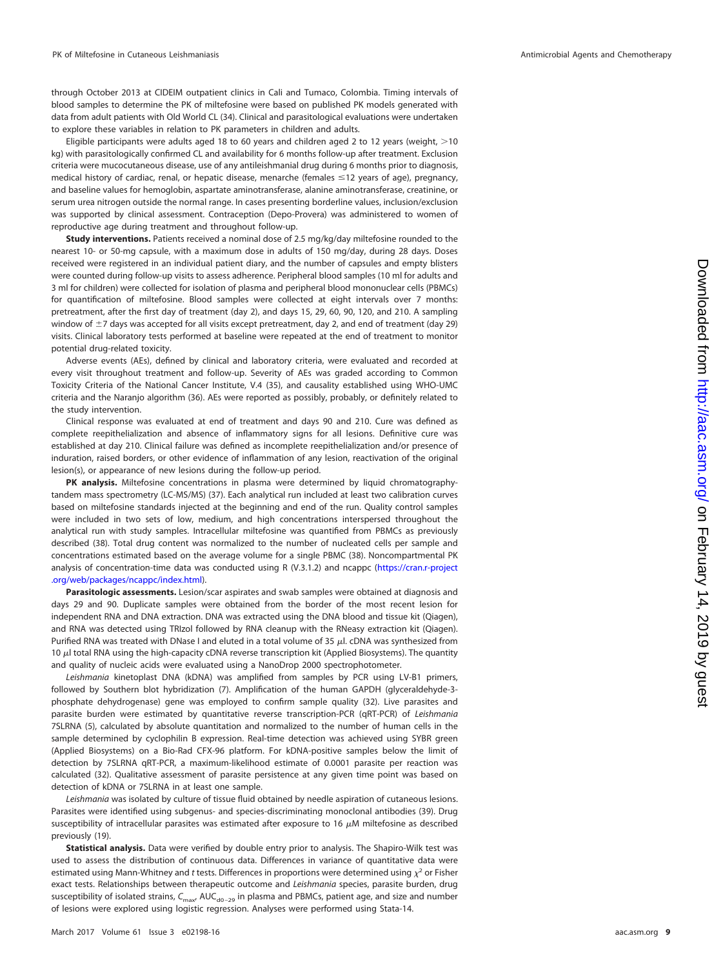through October 2013 at CIDEIM outpatient clinics in Cali and Tumaco, Colombia. Timing intervals of blood samples to determine the PK of miltefosine were based on published PK models generated with data from adult patients with Old World CL [\(34\)](#page-10-14). Clinical and parasitological evaluations were undertaken to explore these variables in relation to PK parameters in children and adults.

Eligible participants were adults aged 18 to 60 years and children aged 2 to 12 years (weight,  $>$ 10 kg) with parasitologically confirmed CL and availability for 6 months follow-up after treatment. Exclusion criteria were mucocutaneous disease, use of any antileishmanial drug during 6 months prior to diagnosis, medical history of cardiac, renal, or hepatic disease, menarche (females  $\leq$ 12 years of age), pregnancy, and baseline values for hemoglobin, aspartate aminotransferase, alanine aminotransferase, creatinine, or serum urea nitrogen outside the normal range. In cases presenting borderline values, inclusion/exclusion was supported by clinical assessment. Contraception (Depo-Provera) was administered to women of reproductive age during treatment and throughout follow-up.

**Study interventions.** Patients received a nominal dose of 2.5 mg/kg/day miltefosine rounded to the nearest 10- or 50-mg capsule, with a maximum dose in adults of 150 mg/day, during 28 days. Doses received were registered in an individual patient diary, and the number of capsules and empty blisters were counted during follow-up visits to assess adherence. Peripheral blood samples (10 ml for adults and 3 ml for children) were collected for isolation of plasma and peripheral blood mononuclear cells (PBMCs) for quantification of miltefosine. Blood samples were collected at eight intervals over 7 months: pretreatment, after the first day of treatment (day 2), and days 15, 29, 60, 90, 120, and 210. A sampling window of  $\pm$ 7 days was accepted for all visits except pretreatment, day 2, and end of treatment (day 29) visits. Clinical laboratory tests performed at baseline were repeated at the end of treatment to monitor potential drug-related toxicity.

Adverse events (AEs), defined by clinical and laboratory criteria, were evaluated and recorded at every visit throughout treatment and follow-up. Severity of AEs was graded according to Common Toxicity Criteria of the National Cancer Institute, V.4 [\(35\)](#page-10-15), and causality established using WHO-UMC criteria and the Naranjo algorithm [\(36\)](#page-10-16). AEs were reported as possibly, probably, or definitely related to the study intervention.

Clinical response was evaluated at end of treatment and days 90 and 210. Cure was defined as complete reepithelialization and absence of inflammatory signs for all lesions. Definitive cure was established at day 210. Clinical failure was defined as incomplete reepithelialization and/or presence of induration, raised borders, or other evidence of inflammation of any lesion, reactivation of the original lesion(s), or appearance of new lesions during the follow-up period.

**PK analysis.** Miltefosine concentrations in plasma were determined by liquid chromatographytandem mass spectrometry (LC-MS/MS) [\(37\)](#page-10-17). Each analytical run included at least two calibration curves based on miltefosine standards injected at the beginning and end of the run. Quality control samples were included in two sets of low, medium, and high concentrations interspersed throughout the analytical run with study samples. Intracellular miltefosine was quantified from PBMCs as previously described [\(38\)](#page-10-18). Total drug content was normalized to the number of nucleated cells per sample and concentrations estimated based on the average volume for a single PBMC [\(38\)](#page-10-18). Noncompartmental PK analysis of concentration-time data was conducted using R (V.3.1.2) and ncappc [\(https://cran.r-project](https://cran.r-project.org/web/packages/ncappc/index.html) [.org/web/packages/ncappc/index.html\)](https://cran.r-project.org/web/packages/ncappc/index.html).

**Parasitologic assessments.** Lesion/scar aspirates and swab samples were obtained at diagnosis and days 29 and 90. Duplicate samples were obtained from the border of the most recent lesion for independent RNA and DNA extraction. DNA was extracted using the DNA blood and tissue kit (Qiagen), and RNA was detected using TRIzol followed by RNA cleanup with the RNeasy extraction kit (Qiagen). Purified RNA was treated with DNase I and eluted in a total volume of 35  $\mu$ l. cDNA was synthesized from 10  $\mu$ l total RNA using the high-capacity cDNA reverse transcription kit (Applied Biosystems). The quantity and quality of nucleic acids were evaluated using a NanoDrop 2000 spectrophotometer.

Leishmania kinetoplast DNA (kDNA) was amplified from samples by PCR using LV-B1 primers, followed by Southern blot hybridization [\(7\)](#page-9-17). Amplification of the human GAPDH (glyceraldehyde-3 phosphate dehydrogenase) gene was employed to confirm sample quality [\(32\)](#page-10-12). Live parasites and parasite burden were estimated by quantitative reverse transcription-PCR (qRT-PCR) of Leishmania 7SLRNA [\(5\)](#page-9-4), calculated by absolute quantitation and normalized to the number of human cells in the sample determined by cyclophilin B expression. Real-time detection was achieved using SYBR green (Applied Biosystems) on a Bio-Rad CFX-96 platform. For kDNA-positive samples below the limit of detection by 7SLRNA qRT-PCR, a maximum-likelihood estimate of 0.0001 parasite per reaction was calculated [\(32\)](#page-10-12). Qualitative assessment of parasite persistence at any given time point was based on detection of kDNA or 7SLRNA in at least one sample.

Leishmania was isolated by culture of tissue fluid obtained by needle aspiration of cutaneous lesions. Parasites were identified using subgenus- and species-discriminating monoclonal antibodies [\(39\)](#page-10-19). Drug susceptibility of intracellular parasites was estimated after exposure to 16  $\mu$ M miltefosine as described previously [\(19\)](#page-9-16).

**Statistical analysis.** Data were verified by double entry prior to analysis. The Shapiro-Wilk test was used to assess the distribution of continuous data. Differences in variance of quantitative data were estimated using Mann-Whitney and t tests. Differences in proportions were determined using  $\chi^2$  or Fisher exact tests. Relationships between therapeutic outcome and Leishmania species, parasite burden, drug susceptibility of isolated strains,  $C_{\text{max}}$ , AUC<sub>d0-29</sub> in plasma and PBMCs, patient age, and size and number of lesions were explored using logistic regression. Analyses were performed using Stata-14.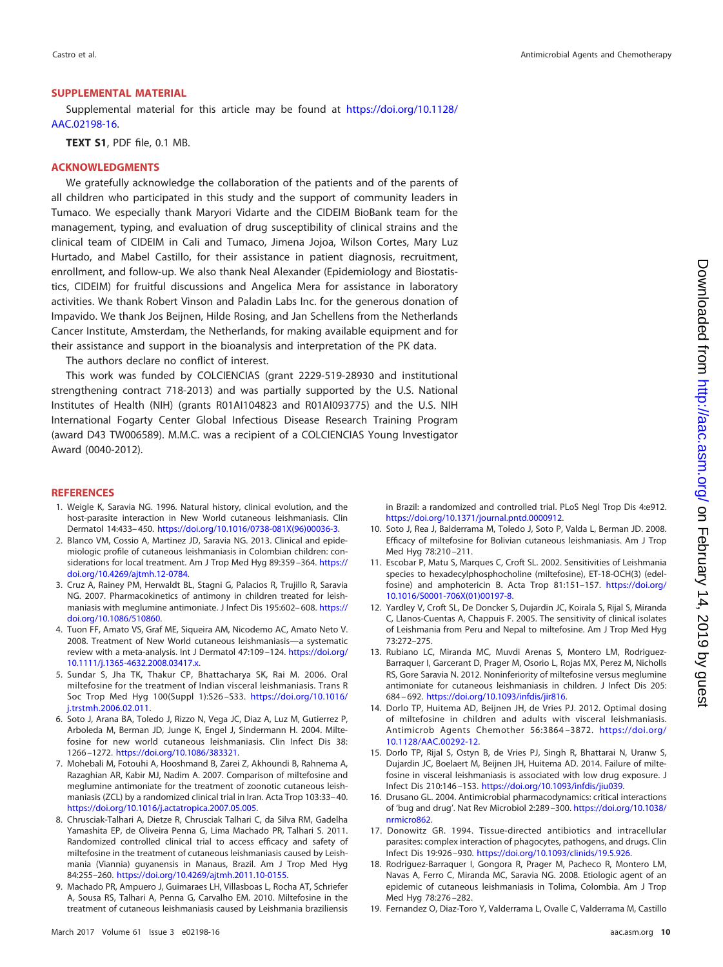# **SUPPLEMENTAL MATERIAL**

Supplemental material for this article may be found at [https://doi.org/10.1128/](https://doi.org/10.1128/AAC.02198-16) [AAC.02198-16.](https://doi.org/10.1128/AAC.02198-16)

**TEXT S1**, PDF file, 0.1 MB.

# **ACKNOWLEDGMENTS**

We gratefully acknowledge the collaboration of the patients and of the parents of all children who participated in this study and the support of community leaders in Tumaco. We especially thank Maryori Vidarte and the CIDEIM BioBank team for the management, typing, and evaluation of drug susceptibility of clinical strains and the clinical team of CIDEIM in Cali and Tumaco, Jimena Jojoa, Wilson Cortes, Mary Luz Hurtado, and Mabel Castillo, for their assistance in patient diagnosis, recruitment, enrollment, and follow-up. We also thank Neal Alexander (Epidemiology and Biostatistics, CIDEIM) for fruitful discussions and Angelica Mera for assistance in laboratory activities. We thank Robert Vinson and Paladin Labs Inc. for the generous donation of Impavido. We thank Jos Beijnen, Hilde Rosing, and Jan Schellens from the Netherlands Cancer Institute, Amsterdam, the Netherlands, for making available equipment and for their assistance and support in the bioanalysis and interpretation of the PK data.

The authors declare no conflict of interest.

This work was funded by COLCIENCIAS (grant 2229-519-28930 and institutional strengthening contract 718-2013) and was partially supported by the U.S. National Institutes of Health (NIH) (grants R01AI104823 and R01AI093775) and the U.S. NIH International Fogarty Center Global Infectious Disease Research Training Program (award D43 TW006589). M.M.C. was a recipient of a COLCIENCIAS Young Investigator Award (0040-2012).

#### <span id="page-9-0"></span>**REFERENCES**

- 1. Weigle K, Saravia NG. 1996. Natural history, clinical evolution, and the host-parasite interaction in New World cutaneous leishmaniasis. Clin Dermatol 14:433– 450. [https://doi.org/10.1016/0738-081X\(96\)00036-3.](https://doi.org/10.1016/0738-081X(96)00036-3)
- <span id="page-9-1"></span>2. Blanco VM, Cossio A, Martinez JD, Saravia NG. 2013. Clinical and epidemiologic profile of cutaneous leishmaniasis in Colombian children: considerations for local treatment. Am J Trop Med Hyg 89:359-364. [https://](https://doi.org/10.4269/ajtmh.12-0784) [doi.org/10.4269/ajtmh.12-0784.](https://doi.org/10.4269/ajtmh.12-0784)
- <span id="page-9-2"></span>3. Cruz A, Rainey PM, Herwaldt BL, Stagni G, Palacios R, Trujillo R, Saravia NG. 2007. Pharmacokinetics of antimony in children treated for leishmaniasis with meglumine antimoniate. J Infect Dis 195:602-608. [https://](https://doi.org/10.1086/510860) [doi.org/10.1086/510860.](https://doi.org/10.1086/510860)
- <span id="page-9-3"></span>4. Tuon FF, Amato VS, Graf ME, Siqueira AM, Nicodemo AC, Amato Neto V. 2008. Treatment of New World cutaneous leishmaniasis—a systematic review with a meta-analysis. Int J Dermatol 47:109 –124. [https://doi.org/](https://doi.org/10.1111/j.1365-4632.2008.03417.x) [10.1111/j.1365-4632.2008.03417.x.](https://doi.org/10.1111/j.1365-4632.2008.03417.x)
- <span id="page-9-4"></span>5. Sundar S, Jha TK, Thakur CP, Bhattacharya SK, Rai M. 2006. Oral miltefosine for the treatment of Indian visceral leishmaniasis. Trans R Soc Trop Med Hyg 100(Suppl 1):S26 –S33. [https://doi.org/10.1016/](https://doi.org/10.1016/j.trstmh.2006.02.011) [j.trstmh.2006.02.011.](https://doi.org/10.1016/j.trstmh.2006.02.011)
- 6. Soto J, Arana BA, Toledo J, Rizzo N, Vega JC, Diaz A, Luz M, Gutierrez P, Arboleda M, Berman JD, Junge K, Engel J, Sindermann H. 2004. Miltefosine for new world cutaneous leishmaniasis. Clin Infect Dis 38: 1266 –1272. [https://doi.org/10.1086/383321.](https://doi.org/10.1086/383321)
- <span id="page-9-17"></span>7. Mohebali M, Fotouhi A, Hooshmand B, Zarei Z, Akhoundi B, Rahnema A, Razaghian AR, Kabir MJ, Nadim A. 2007. Comparison of miltefosine and meglumine antimoniate for the treatment of zoonotic cutaneous leishmaniasis (ZCL) by a randomized clinical trial in Iran. Acta Trop 103:33– 40. [https://doi.org/10.1016/j.actatropica.2007.05.005.](https://doi.org/10.1016/j.actatropica.2007.05.005)
- <span id="page-9-10"></span>8. Chrusciak-Talhari A, Dietze R, Chrusciak Talhari C, da Silva RM, Gadelha Yamashita EP, de Oliveira Penna G, Lima Machado PR, Talhari S. 2011. Randomized controlled clinical trial to access efficacy and safety of miltefosine in the treatment of cutaneous leishmaniasis caused by Leishmania (Viannia) guyanensis in Manaus, Brazil. Am J Trop Med Hyg 84:255–260. [https://doi.org/10.4269/ajtmh.2011.10-0155.](https://doi.org/10.4269/ajtmh.2011.10-0155)
- <span id="page-9-5"></span>9. Machado PR, Ampuero J, Guimaraes LH, Villasboas L, Rocha AT, Schriefer A, Sousa RS, Talhari A, Penna G, Carvalho EM. 2010. Miltefosine in the treatment of cutaneous leishmaniasis caused by Leishmania braziliensis

in Brazil: a randomized and controlled trial. PLoS Negl Trop Dis 4:e912. [https://doi.org/10.1371/journal.pntd.0000912.](https://doi.org/10.1371/journal.pntd.0000912)

- <span id="page-9-7"></span><span id="page-9-6"></span>10. Soto J, Rea J, Balderrama M, Toledo J, Soto P, Valda L, Berman JD. 2008. Efficacy of miltefosine for Bolivian cutaneous leishmaniasis. Am J Trop Med Hyg 78:210 –211.
- 11. Escobar P, Matu S, Marques C, Croft SL. 2002. Sensitivities of Leishmania species to hexadecylphosphocholine (miltefosine), ET-18-OCH(3) (edelfosine) and amphotericin B. Acta Trop 81:151–157. [https://doi.org/](https://doi.org/10.1016/S0001-706X(01)00197-8) [10.1016/S0001-706X\(01\)00197-8.](https://doi.org/10.1016/S0001-706X(01)00197-8)
- <span id="page-9-8"></span>12. Yardley V, Croft SL, De Doncker S, Dujardin JC, Koirala S, Rijal S, Miranda C, Llanos-Cuentas A, Chappuis F. 2005. The sensitivity of clinical isolates of Leishmania from Peru and Nepal to miltefosine. Am J Trop Med Hyg 73:272–275.
- <span id="page-9-9"></span>13. Rubiano LC, Miranda MC, Muvdi Arenas S, Montero LM, Rodriguez-Barraquer I, Garcerant D, Prager M, Osorio L, Rojas MX, Perez M, Nicholls RS, Gore Saravia N. 2012. Noninferiority of miltefosine versus meglumine antimoniate for cutaneous leishmaniasis in children. J Infect Dis 205: 684 – 692. [https://doi.org/10.1093/infdis/jir816.](https://doi.org/10.1093/infdis/jir816)
- <span id="page-9-11"></span>14. Dorlo TP, Huitema AD, Beijnen JH, de Vries PJ. 2012. Optimal dosing of miltefosine in children and adults with visceral leishmaniasis. Antimicrob Agents Chemother 56:3864 –3872. [https://doi.org/](https://doi.org/10.1128/AAC.00292-12) [10.1128/AAC.00292-12.](https://doi.org/10.1128/AAC.00292-12)
- <span id="page-9-12"></span>15. Dorlo TP, Rijal S, Ostyn B, de Vries PJ, Singh R, Bhattarai N, Uranw S, Dujardin JC, Boelaert M, Beijnen JH, Huitema AD. 2014. Failure of miltefosine in visceral leishmaniasis is associated with low drug exposure. J Infect Dis 210:146 –153. [https://doi.org/10.1093/infdis/jiu039.](https://doi.org/10.1093/infdis/jiu039)
- <span id="page-9-14"></span><span id="page-9-13"></span>16. Drusano GL. 2004. Antimicrobial pharmacodynamics: critical interactions of 'bug and drug'. Nat Rev Microbiol 2:289 –300. [https://doi.org/10.1038/](https://doi.org/10.1038/nrmicro862) [nrmicro862.](https://doi.org/10.1038/nrmicro862)
- <span id="page-9-15"></span>17. Donowitz GR. 1994. Tissue-directed antibiotics and intracellular parasites: complex interaction of phagocytes, pathogens, and drugs. Clin Infect Dis 19:926 –930. [https://doi.org/10.1093/clinids/19.5.926.](https://doi.org/10.1093/clinids/19.5.926)
- 18. Rodriguez-Barraquer I, Gongora R, Prager M, Pacheco R, Montero LM, Navas A, Ferro C, Miranda MC, Saravia NG. 2008. Etiologic agent of an epidemic of cutaneous leishmaniasis in Tolima, Colombia. Am J Trop Med Hyg 78:276 –282.
- <span id="page-9-16"></span>19. Fernandez O, Diaz-Toro Y, Valderrama L, Ovalle C, Valderrama M, Castillo